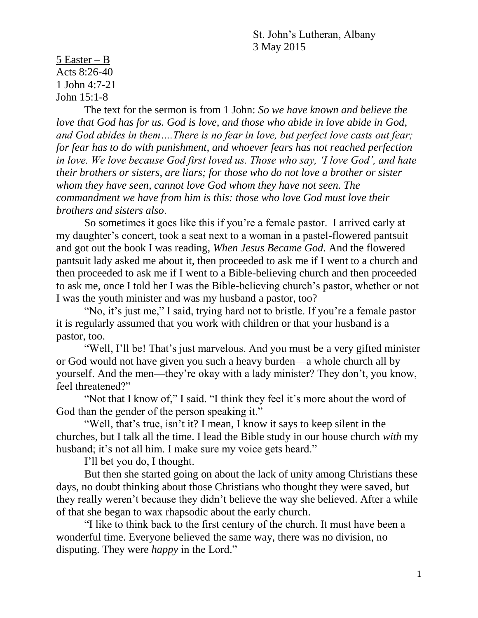St. John's Lutheran, Albany 3 May 2015

5 Easter – B Acts 8:26-40 1 John 4:7-21 John 15:1-8

The text for the sermon is from 1 John: *So we have known and believe the love that God has for us. God is love, and those who abide in love abide in God, and God abides in them….There is no fear in love, but perfect love casts out fear; for fear has to do with punishment, and whoever fears has not reached perfection in love. We love because God first loved us. Those who say, 'I love God', and hate their brothers or sisters, are liars; for those who do not love a brother or sister whom they have seen, cannot love God whom they have not seen. The commandment we have from him is this: those who love God must love their brothers and sisters also*.

So sometimes it goes like this if you're a female pastor. I arrived early at my daughter's concert, took a seat next to a woman in a pastel-flowered pantsuit and got out the book I was reading, *When Jesus Became God.* And the flowered pantsuit lady asked me about it, then proceeded to ask me if I went to a church and then proceeded to ask me if I went to a Bible-believing church and then proceeded to ask me, once I told her I was the Bible-believing church's pastor, whether or not I was the youth minister and was my husband a pastor, too?

"No, it's just me," I said, trying hard not to bristle. If you're a female pastor it is regularly assumed that you work with children or that your husband is a pastor, too.

"Well, I'll be! That's just marvelous. And you must be a very gifted minister or God would not have given you such a heavy burden—a whole church all by yourself. And the men—they're okay with a lady minister? They don't, you know, feel threatened?"

"Not that I know of," I said. "I think they feel it's more about the word of God than the gender of the person speaking it."

"Well, that's true, isn't it? I mean, I know it says to keep silent in the churches, but I talk all the time. I lead the Bible study in our house church *with* my husband; it's not all him. I make sure my voice gets heard."

I'll bet you do, I thought.

But then she started going on about the lack of unity among Christians these days, no doubt thinking about those Christians who thought they were saved, but they really weren't because they didn't believe the way she believed. After a while of that she began to wax rhapsodic about the early church.

"I like to think back to the first century of the church. It must have been a wonderful time. Everyone believed the same way, there was no division, no disputing. They were *happy* in the Lord."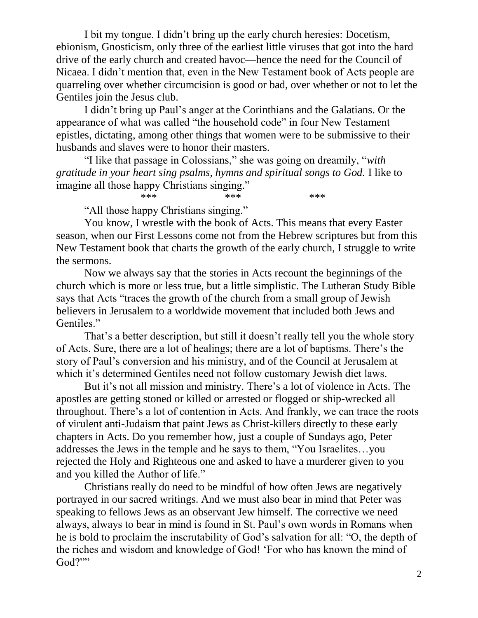I bit my tongue. I didn't bring up the early church heresies: Docetism, ebionism, Gnosticism, only three of the earliest little viruses that got into the hard drive of the early church and created havoc—hence the need for the Council of Nicaea. I didn't mention that, even in the New Testament book of Acts people are quarreling over whether circumcision is good or bad, over whether or not to let the Gentiles join the Jesus club.

I didn't bring up Paul's anger at the Corinthians and the Galatians. Or the appearance of what was called "the household code" in four New Testament epistles, dictating, among other things that women were to be submissive to their husbands and slaves were to honor their masters.

"I like that passage in Colossians," she was going on dreamily, "*with gratitude in your heart sing psalms, hymns and spiritual songs to God.* I like to imagine all those happy Christians singing."

\*\*\* \*\*\* \*\*\* \*\*\*

"All those happy Christians singing."

You know, I wrestle with the book of Acts. This means that every Easter season, when our First Lessons come not from the Hebrew scriptures but from this New Testament book that charts the growth of the early church, I struggle to write the sermons.

Now we always say that the stories in Acts recount the beginnings of the church which is more or less true, but a little simplistic. The Lutheran Study Bible says that Acts "traces the growth of the church from a small group of Jewish believers in Jerusalem to a worldwide movement that included both Jews and Gentiles."

That's a better description, but still it doesn't really tell you the whole story of Acts. Sure, there are a lot of healings; there are a lot of baptisms. There's the story of Paul's conversion and his ministry, and of the Council at Jerusalem at which it's determined Gentiles need not follow customary Jewish diet laws.

But it's not all mission and ministry. There's a lot of violence in Acts. The apostles are getting stoned or killed or arrested or flogged or ship-wrecked all throughout. There's a lot of contention in Acts. And frankly, we can trace the roots of virulent anti-Judaism that paint Jews as Christ-killers directly to these early chapters in Acts. Do you remember how, just a couple of Sundays ago, Peter addresses the Jews in the temple and he says to them, "You Israelites…you rejected the Holy and Righteous one and asked to have a murderer given to you and you killed the Author of life."

Christians really do need to be mindful of how often Jews are negatively portrayed in our sacred writings. And we must also bear in mind that Peter was speaking to fellows Jews as an observant Jew himself. The corrective we need always, always to bear in mind is found in St. Paul's own words in Romans when he is bold to proclaim the inscrutability of God's salvation for all: "O, the depth of the riches and wisdom and knowledge of God! 'For who has known the mind of God?""